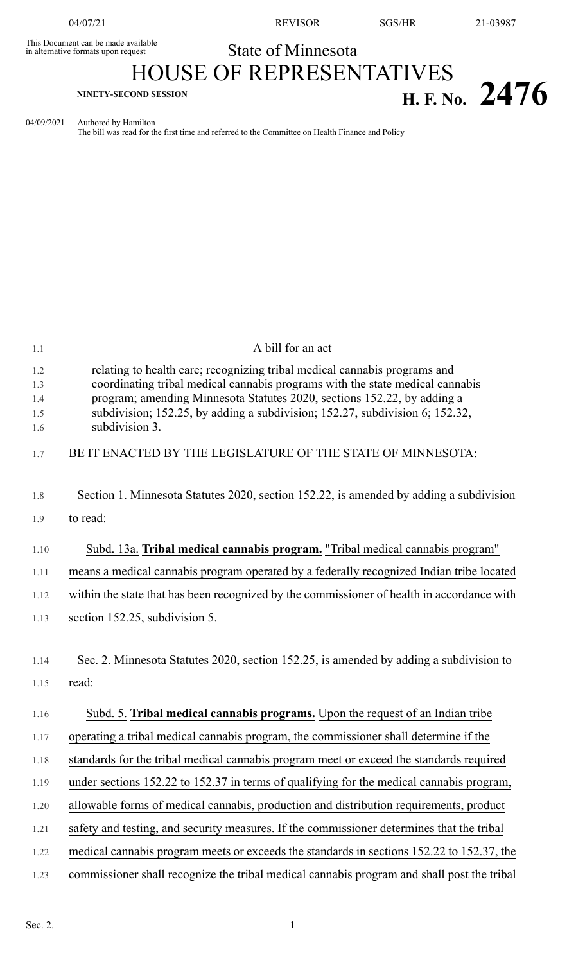This Document can be made available<br>in alternative formats upon request

04/07/21 REVISOR SGS/HR 21-03987

State of Minnesota

## HOUSE OF REPRESENTATIVES **EXPLORE SECOND SESSION H. F. No. 2476**

04/09/2021 Authored by Hamilton

The bill was read for the first time and referred to the Committee on Health Finance and Policy

| 1.1                             | A bill for an act                                                                                                                                                                                                                                                                                                                       |
|---------------------------------|-----------------------------------------------------------------------------------------------------------------------------------------------------------------------------------------------------------------------------------------------------------------------------------------------------------------------------------------|
| 1.2<br>1.3<br>1.4<br>1.5<br>1.6 | relating to health care; recognizing tribal medical cannabis programs and<br>coordinating tribal medical cannabis programs with the state medical cannabis<br>program; amending Minnesota Statutes 2020, sections 152.22, by adding a<br>subdivision; 152.25, by adding a subdivision; 152.27, subdivision 6; 152.32,<br>subdivision 3. |
| 1.7                             | BE IT ENACTED BY THE LEGISLATURE OF THE STATE OF MINNESOTA:                                                                                                                                                                                                                                                                             |
| 1.8                             | Section 1. Minnesota Statutes 2020, section 152.22, is amended by adding a subdivision                                                                                                                                                                                                                                                  |
| 1.9                             | to read:                                                                                                                                                                                                                                                                                                                                |
| 1.10                            | Subd. 13a. Tribal medical cannabis program. "Tribal medical cannabis program"                                                                                                                                                                                                                                                           |
| 1.11                            | means a medical cannabis program operated by a federally recognized Indian tribe located                                                                                                                                                                                                                                                |
| 1.12                            | within the state that has been recognized by the commissioner of health in accordance with                                                                                                                                                                                                                                              |
| 1.13                            | section 152.25, subdivision 5.                                                                                                                                                                                                                                                                                                          |
| 1.14                            | Sec. 2. Minnesota Statutes 2020, section 152.25, is amended by adding a subdivision to                                                                                                                                                                                                                                                  |
| 1.15                            | read:                                                                                                                                                                                                                                                                                                                                   |
| 1.16                            | Subd. 5. Tribal medical cannabis programs. Upon the request of an Indian tribe                                                                                                                                                                                                                                                          |
| 1.17                            | operating a tribal medical cannabis program, the commissioner shall determine if the                                                                                                                                                                                                                                                    |
| 1.18                            | standards for the tribal medical cannabis program meet or exceed the standards required                                                                                                                                                                                                                                                 |
| 1.19                            | under sections 152.22 to 152.37 in terms of qualifying for the medical cannabis program,                                                                                                                                                                                                                                                |
| 1.20                            | allowable forms of medical cannabis, production and distribution requirements, product                                                                                                                                                                                                                                                  |
| 1.21                            | safety and testing, and security measures. If the commissioner determines that the tribal                                                                                                                                                                                                                                               |
| 1.22                            | medical cannabis program meets or exceeds the standards in sections 152.22 to 152.37, the                                                                                                                                                                                                                                               |
| 1.23                            | commissioner shall recognize the tribal medical cannabis program and shall post the tribal                                                                                                                                                                                                                                              |
|                                 |                                                                                                                                                                                                                                                                                                                                         |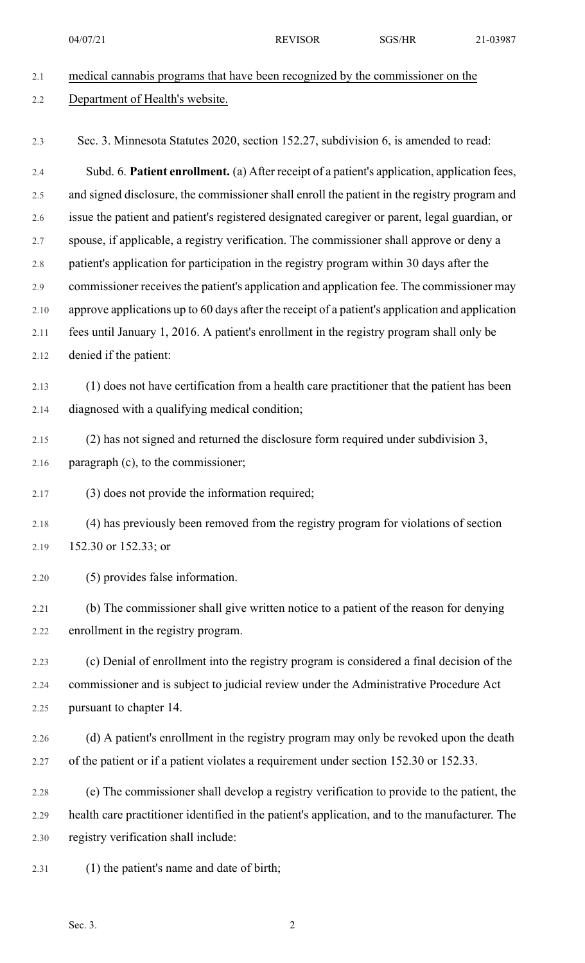04/07/21 REVISOR SGS/HR 21-03987

| Department of Health's website.                                                                 |
|-------------------------------------------------------------------------------------------------|
|                                                                                                 |
| Sec. 3. Minnesota Statutes 2020, section 152.27, subdivision 6, is amended to read:             |
| Subd. 6. Patient enrollment. (a) After receipt of a patient's application, application fees,    |
| and signed disclosure, the commissioner shall enroll the patient in the registry program and    |
| issue the patient and patient's registered designated caregiver or parent, legal guardian, or   |
| spouse, if applicable, a registry verification. The commissioner shall approve or deny a        |
| patient's application for participation in the registry program within 30 days after the        |
| commissioner receives the patient's application and application fee. The commissioner may       |
| approve applications up to 60 days after the receipt of a patient's application and application |
| fees until January 1, 2016. A patient's enrollment in the registry program shall only be        |
| denied if the patient:                                                                          |
| (1) does not have certification from a health care practitioner that the patient has been       |
| diagnosed with a qualifying medical condition;                                                  |
| (2) has not signed and returned the disclosure form required under subdivision 3,               |
| paragraph (c), to the commissioner;                                                             |
| (3) does not provide the information required;                                                  |
| (4) has previously been removed from the registry program for violations of section             |
| 152.30 or 152.33; or                                                                            |
| (5) provides false information.                                                                 |
| (b) The commissioner shall give written notice to a patient of the reason for denying           |
| enrollment in the registry program.                                                             |
| (c) Denial of enrollment into the registry program is considered a final decision of the        |
| commissioner and is subject to judicial review under the Administrative Procedure Act           |
| pursuant to chapter 14.                                                                         |
| (d) A patient's enrollment in the registry program may only be revoked upon the death           |
| of the patient or if a patient violates a requirement under section 152.30 or 152.33.           |
|                                                                                                 |
| (e) The commissioner shall develop a registry verification to provide to the patient, the       |
| health care practitioner identified in the patient's application, and to the manufacturer. The  |
| registry verification shall include:                                                            |
| (1) the patient's name and date of birth;                                                       |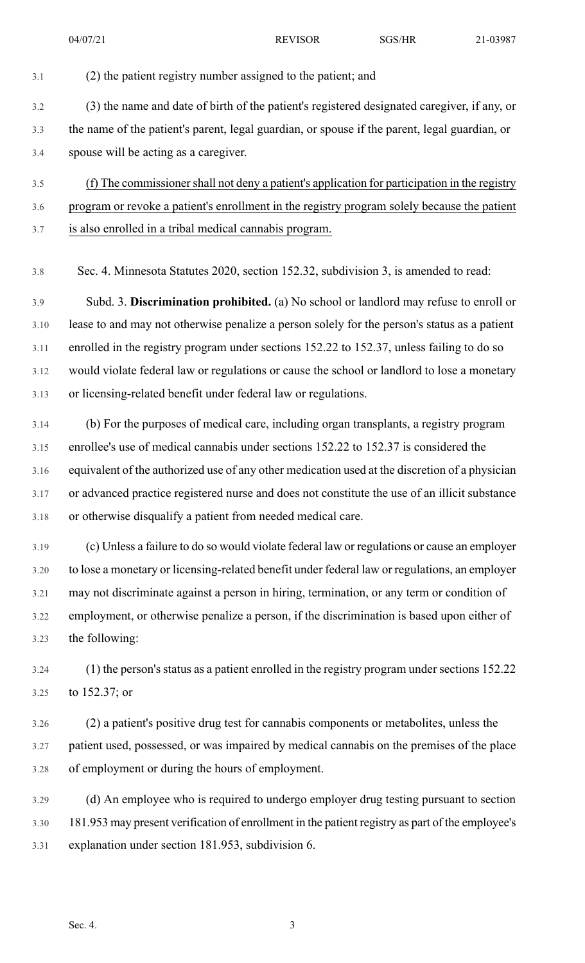3.1 (2) the patient registry number assigned to the patient; and 3.2 (3) the name and date of birth of the patient's registered designated caregiver, if any, or 3.3 the name of the patient's parent, legal guardian, or spouse if the parent, legal guardian, or 3.4 spouse will be acting as a caregiver. 3.5 (f) The commissionershall not deny a patient's application for participation in the registry 3.6 program or revoke a patient's enrollment in the registry program solely because the patient 3.7 is also enrolled in a tribal medical cannabis program. 3.8 Sec. 4. Minnesota Statutes 2020, section 152.32, subdivision 3, is amended to read: 3.9 Subd. 3. **Discrimination prohibited.** (a) No school or landlord may refuse to enroll or 3.10 lease to and may not otherwise penalize a person solely for the person's status as a patient 3.11 enrolled in the registry program under sections 152.22 to 152.37, unless failing to do so 3.12 would violate federal law or regulations or cause the school or landlord to lose a monetary 3.13 or licensing-related benefit under federal law or regulations. 3.14 (b) For the purposes of medical care, including organ transplants, a registry program 3.15 enrollee's use of medical cannabis under sections 152.22 to 152.37 is considered the 3.16 equivalent of the authorized use of any other medication used at the discretion of a physician 3.17 or advanced practice registered nurse and does not constitute the use of an illicit substance 3.18 or otherwise disqualify a patient from needed medical care. 3.19 (c) Unless a failure to do so would violate federal law or regulations or cause an employer 3.20 to lose a monetary or licensing-related benefit under federal law or regulations, an employer 3.21 may not discriminate against a person in hiring, termination, or any term or condition of 3.22 employment, or otherwise penalize a person, if the discrimination is based upon either of 3.23 the following: 3.24 (1) the person's status as a patient enrolled in the registry program under sections 152.22 3.25 to 152.37; or 3.26 (2) a patient's positive drug test for cannabis components or metabolites, unless the 3.27 patient used, possessed, or was impaired by medical cannabis on the premises of the place 3.28 of employment or during the hours of employment. 3.29 (d) An employee who is required to undergo employer drug testing pursuant to section 3.30 181.953 may present verification of enrollment in the patient registry as part of the employee's 3.31 explanation under section 181.953, subdivision 6.